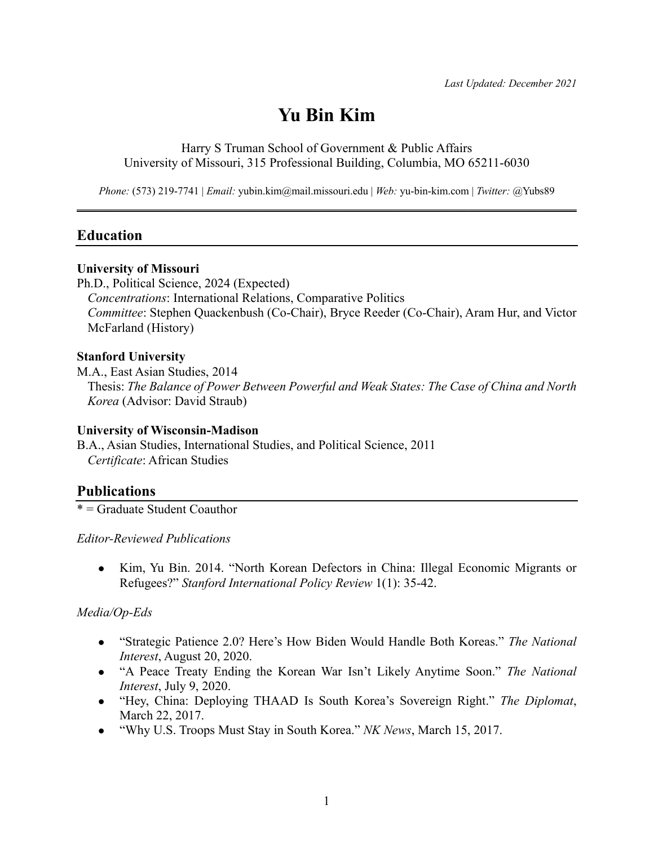# **Yu Bin Kim**

Harry S Truman School of Government & Public Affairs University of Missouri, 315 Professional Building, Columbia, MO 65211-6030

*Phone:* (573) 219-7741 | *Email:* yubin.kim@mail.missouri.edu | *Web:* yu-bin-kim.com | *Twitter:* @Yubs89  $\mathcal{L} = \{ \mathcal{L} = \{ \mathcal{L} = \{ \mathcal{L} = \mathcal{L} \} \mid \mathcal{L} = \{ \mathcal{L} = \{ \mathcal{L} = \mathcal{L} \} \mid \mathcal{L} = \{ \mathcal{L} = \{ \mathcal{L} = \mathcal{L} = \mathcal{L} = \{ \mathcal{L} = \mathcal{L} = \mathcal{L} = \mathcal{L} = \mathcal{L} = \mathcal{L} \} \}$ 

### **Education**

#### **University of Missouri**

Ph.D., Political Science, 2024 (Expected) *Concentrations*: International Relations, Comparative Politics *Committee*: Stephen Quackenbush (Co-Chair), Bryce Reeder (Co-Chair), Aram Hur, and Victor McFarland (History)

#### **Stanford University**

M.A., East Asian Studies, 2014 Thesis: *The Balance of Power Between Powerful and Weak States: The Case of China and North Korea* (Advisor: David Straub)

#### **University of Wisconsin-Madison**

B.A., Asian Studies, International Studies, and Political Science, 2011 *Certificate*: African Studies

### **Publications**

\* = Graduate Student Coauthor

*Editor-Reviewed Publications*

• Kim, Yu Bin. 2014. "North Korean Defectors in China: Illegal Economic Migrants or Refugees?" *Stanford International Policy Review* 1(1): 35-42.

### *Media/Op-Eds*

- **•** "Strategic Patience 2.0? Here's How Biden Would Handle Both Koreas." *The National Interest*, August 20, 2020.
- "A Peace Treaty Ending the Korean War Isn't Likely Anytime Soon." *The National Interest*, July 9, 2020.
- <sup>l</sup> "Hey, China: Deploying THAAD Is South Korea's Sovereign Right." *The Diplomat*, March 22, 2017.
- <sup>l</sup> "Why U.S. Troops Must Stay in South Korea." *NK News*, March 15, 2017.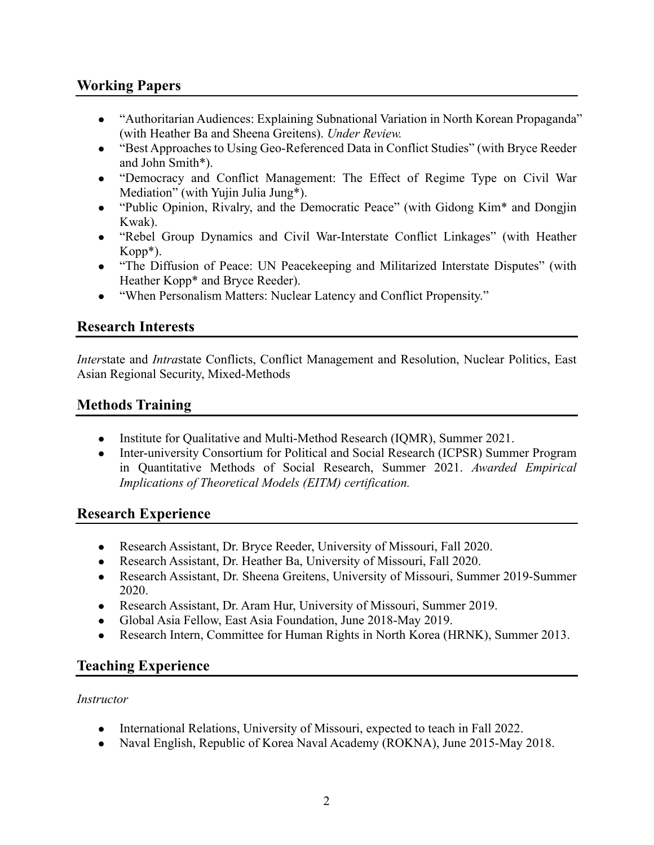# **Working Papers**

- "Authoritarian Audiences: Explaining Subnational Variation in North Korean Propaganda" (with Heather Ba and Sheena Greitens). *Under Review.*
- "Best Approaches to Using Geo-Referenced Data in Conflict Studies" (with Bryce Reeder and John Smith\*).
- "Democracy and Conflict Management: The Effect of Regime Type on Civil War Mediation" (with Yujin Julia Jung\*).
- "Public Opinion, Rivalry, and the Democratic Peace" (with Gidong Kim<sup>\*</sup> and Dongjin Kwak).
- "Rebel Group Dynamics and Civil War-Interstate Conflict Linkages" (with Heather Kopp\*).
- "The Diffusion of Peace: UN Peacekeeping and Militarized Interstate Disputes" (with Heather Kopp\* and Bryce Reeder).
- "When Personalism Matters: Nuclear Latency and Conflict Propensity."

## **Research Interests**

*Inter*state and *Intra*state Conflicts, Conflict Management and Resolution, Nuclear Politics, East Asian Regional Security, Mixed-Methods

# **Methods Training**

- Institute for Qualitative and Multi-Method Research (IQMR), Summer 2021.
- Inter-university Consortium for Political and Social Research (ICPSR) Summer Program in Quantitative Methods of Social Research, Summer 2021. *Awarded Empirical Implications of Theoretical Models (EITM) certification.*

### **Research Experience**

- Research Assistant, Dr. Bryce Reeder, University of Missouri, Fall 2020.
- Research Assistant, Dr. Heather Ba, University of Missouri, Fall 2020.
- Research Assistant, Dr. Sheena Greitens, University of Missouri, Summer 2019-Summer 2020.
- Research Assistant, Dr. Aram Hur, University of Missouri, Summer 2019.
- Global Asia Fellow, East Asia Foundation, June 2018-May 2019.
- Research Intern, Committee for Human Rights in North Korea (HRNK), Summer 2013.

# **Teaching Experience**

### *Instructor*

- International Relations, University of Missouri, expected to teach in Fall 2022.
- Naval English, Republic of Korea Naval Academy (ROKNA), June 2015-May 2018.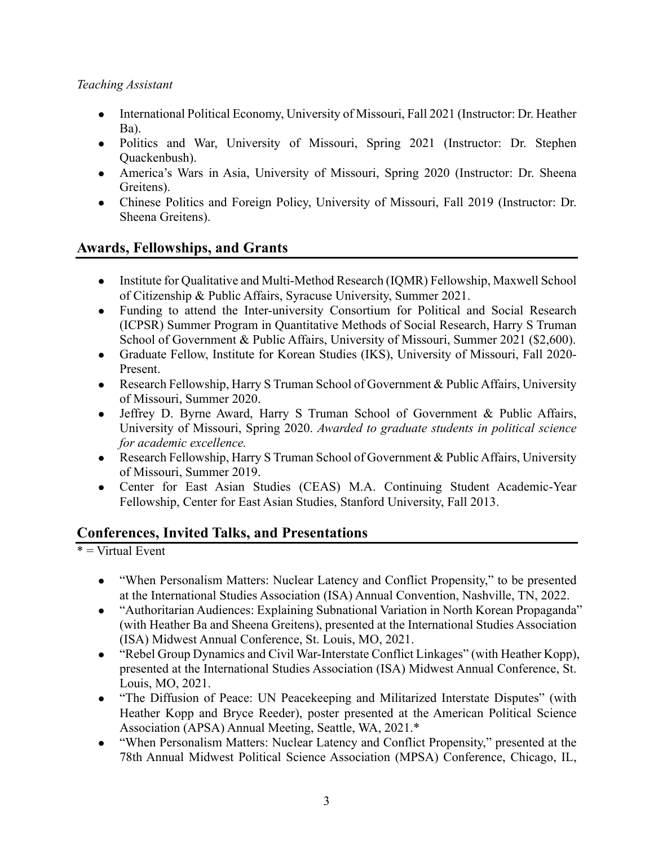### *Teaching Assistant*

- International Political Economy, University of Missouri, Fall 2021 (Instructor: Dr. Heather Ba).
- Politics and War, University of Missouri, Spring 2021 (Instructor: Dr. Stephen Quackenbush).
- America's Wars in Asia, University of Missouri, Spring 2020 (Instructor: Dr. Sheena Greitens).
- Chinese Politics and Foreign Policy, University of Missouri, Fall 2019 (Instructor: Dr. Sheena Greitens).

# **Awards, Fellowships, and Grants**

- Institute for Qualitative and Multi-Method Research (IQMR) Fellowship, Maxwell School of Citizenship & Public Affairs, Syracuse University, Summer 2021.
- Funding to attend the Inter-university Consortium for Political and Social Research (ICPSR) Summer Program in Quantitative Methods of Social Research, Harry S Truman School of Government & Public Affairs, University of Missouri, Summer 2021 (\$2,600).
- Graduate Fellow, Institute for Korean Studies (IKS), University of Missouri, Fall 2020-Present.
- Research Fellowship, Harry S Truman School of Government & Public Affairs, University of Missouri, Summer 2020.
- Jeffrey D. Byrne Award, Harry S Truman School of Government & Public Affairs, University of Missouri, Spring 2020. *Awarded to graduate students in political science for academic excellence.*
- Research Fellowship, Harry S Truman School of Government & Public Affairs, University of Missouri, Summer 2019.
- Center for East Asian Studies (CEAS) M.A. Continuing Student Academic-Year Fellowship, Center for East Asian Studies, Stanford University, Fall 2013.

# **Conferences, Invited Talks, and Presentations**

 $*$  = Virtual Event

- "When Personalism Matters: Nuclear Latency and Conflict Propensity," to be presented at the International Studies Association (ISA) Annual Convention, Nashville, TN, 2022.
- "Authoritarian Audiences: Explaining Subnational Variation in North Korean Propaganda" (with Heather Ba and Sheena Greitens), presented at the International Studies Association (ISA) Midwest Annual Conference, St. Louis, MO, 2021.
- "Rebel Group Dynamics and Civil War-Interstate Conflict Linkages" (with Heather Kopp), presented at the International Studies Association (ISA) Midwest Annual Conference, St. Louis, MO, 2021.
- "The Diffusion of Peace: UN Peacekeeping and Militarized Interstate Disputes" (with Heather Kopp and Bryce Reeder), poster presented at the American Political Science Association (APSA) Annual Meeting, Seattle, WA, 2021.\*
- "When Personalism Matters: Nuclear Latency and Conflict Propensity," presented at the 78th Annual Midwest Political Science Association (MPSA) Conference, Chicago, IL,